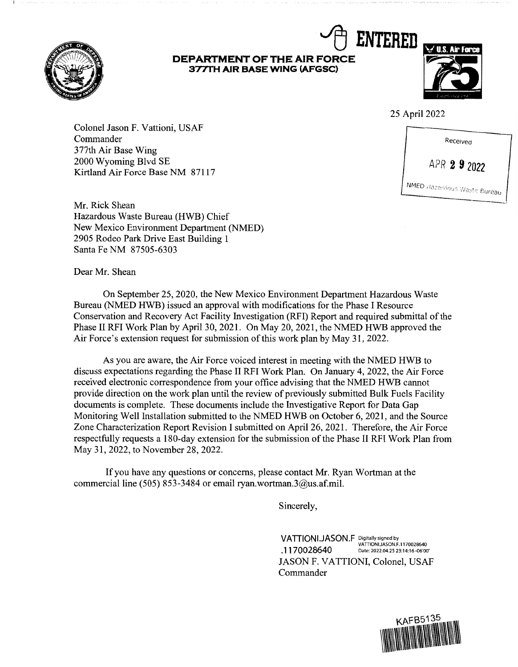

## **DEPARTMENT OF THE AIR FORCE 377TH AIR BASE WING (AFGSC)**



25 April 2022

Colonel Jason F. Vattioni, USAF Commander 3 77th Air Base Wing 2000 Wyoming Blvd SE 2000 Wyoming Blvd SE<br>Kirtland Air Force Base NM 87117 APR 2 9 2022



Mr. Rick Shean Hazardous Waste Bureau (HWB) Chief New Mexico Environment Department (NMED) 2905 Rodeo Park Drive East Building 1 Santa Fe NM 87505-6303

Dear Mr. Shean

On September 25, 2020, the New Mexico Environment Department Hazardous Waste Bureau (NMED HWB) issued an approval with modifications for the Phase I Resource Conservation and Recovery Act Facility Investigation (RFI) Report and required submittal of the Phase II RFI Work Plan by April 30, 2021. On May 20, 2021, the NMED HWB approved the Air Force's extension request for submission of this work plan by May 31, 2022.

As you are aware, the Air Force voiced interest in meeting with the NMED HWB to discuss expectations regarding the Phase II RFI Work Plan. On January 4, 2022, the Air Force received electronic correspondence from your office advising that the NMED HWB cannot provide direction on the work plan until the review of previously submitted Bulk Fuels Facility documents is complete. These documents include the Investigative Report for Data Gap Monitoring Well Installation submitted to the NMED HWB on October 6, 2021, and the Source Zone Characterization Report Revision I submitted on April 26, 2021. Therefore, the Air Force respectfully requests a 180-day extension for the submission of the Phase II RFI Work Plan from May 31, 2022, to November 28, 2022.

If you have any questions or concerns, please contact Mr. Ryan Wortman at the commercial line (505) 853-3484 or email ryan.wortman.3@us.af.mi1.

Sincerely,

VATTIONI.JASON.F Digitally signed by<br> **VATTIONIJASON.F.1170028640 .1170028640** Date: 2022.04.25 23:14:16-06'00' JASON F. VATTIONI, Colonel, USAF Commander